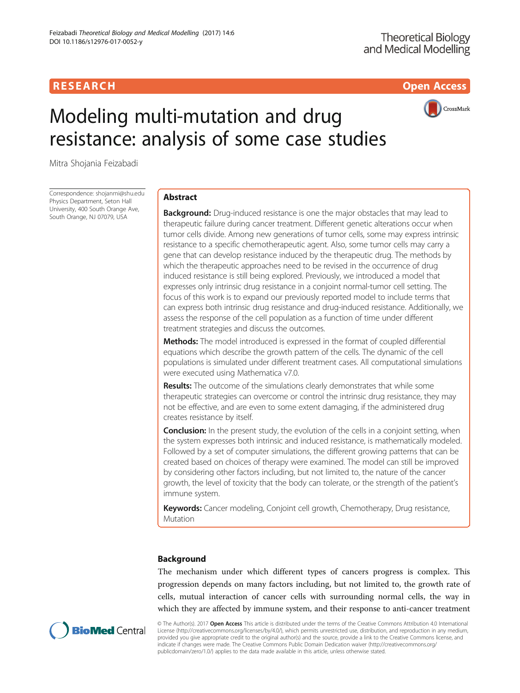# R E S EAR CH Open Access



# Modeling multi-mutation and drug resistance: analysis of some case studies

Mitra Shojania Feizabadi

Correspondence: [shojanmi@shu.edu](mailto:shojanmi@shu.edu) Physics Department, Seton Hall University, 400 South Orange Ave, South Orange, NJ 07079, USA

# Abstract

**Background:** Drug-induced resistance is one the major obstacles that may lead to therapeutic failure during cancer treatment. Different genetic alterations occur when tumor cells divide. Among new generations of tumor cells, some may express intrinsic resistance to a specific chemotherapeutic agent. Also, some tumor cells may carry a gene that can develop resistance induced by the therapeutic drug. The methods by which the therapeutic approaches need to be revised in the occurrence of drug induced resistance is still being explored. Previously, we introduced a model that expresses only intrinsic drug resistance in a conjoint normal-tumor cell setting. The focus of this work is to expand our previously reported model to include terms that can express both intrinsic drug resistance and drug-induced resistance. Additionally, we assess the response of the cell population as a function of time under different treatment strategies and discuss the outcomes.

**Methods:** The model introduced is expressed in the format of coupled differential equations which describe the growth pattern of the cells. The dynamic of the cell populations is simulated under different treatment cases. All computational simulations were executed using Mathematica v7.0.

**Results:** The outcome of the simulations clearly demonstrates that while some therapeutic strategies can overcome or control the intrinsic drug resistance, they may not be effective, and are even to some extent damaging, if the administered drug creates resistance by itself.

**Conclusion:** In the present study, the evolution of the cells in a conjoint setting, when the system expresses both intrinsic and induced resistance, is mathematically modeled. Followed by a set of computer simulations, the different growing patterns that can be created based on choices of therapy were examined. The model can still be improved by considering other factors including, but not limited to, the nature of the cancer growth, the level of toxicity that the body can tolerate, or the strength of the patient's immune system.

Keywords: Cancer modeling, Conjoint cell growth, Chemotherapy, Drug resistance, Mutation

# Background

The mechanism under which different types of cancers progress is complex. This progression depends on many factors including, but not limited to, the growth rate of cells, mutual interaction of cancer cells with surrounding normal cells, the way in which they are affected by immune system, and their response to anti-cancer treatment



© The Author(s). 2017 Open Access This article is distributed under the terms of the Creative Commons Attribution 4.0 International License ([http://creativecommons.org/licenses/by/4.0/\)](http://creativecommons.org/licenses/by/4.0/), which permits unrestricted use, distribution, and reproduction in any medium, provided you give appropriate credit to the original author(s) and the source, provide a link to the Creative Commons license, and indicate if changes were made. The Creative Commons Public Domain Dedication waiver ([http://creativecommons.org/](http://creativecommons.org/publicdomain/zero/1.0/) [publicdomain/zero/1.0/\)](http://creativecommons.org/publicdomain/zero/1.0/) applies to the data made available in this article, unless otherwise stated.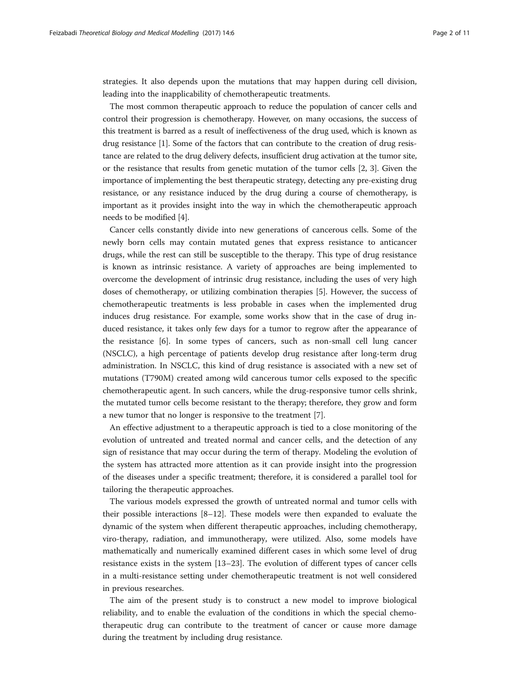strategies. It also depends upon the mutations that may happen during cell division, leading into the inapplicability of chemotherapeutic treatments.

The most common therapeutic approach to reduce the population of cancer cells and control their progression is chemotherapy. However, on many occasions, the success of this treatment is barred as a result of ineffectiveness of the drug used, which is known as drug resistance [[1\]](#page-9-0). Some of the factors that can contribute to the creation of drug resistance are related to the drug delivery defects, insufficient drug activation at the tumor site, or the resistance that results from genetic mutation of the tumor cells [[2](#page-9-0), [3\]](#page-9-0). Given the importance of implementing the best therapeutic strategy, detecting any pre-existing drug resistance, or any resistance induced by the drug during a course of chemotherapy, is important as it provides insight into the way in which the chemotherapeutic approach needs to be modified [[4\]](#page-9-0).

Cancer cells constantly divide into new generations of cancerous cells. Some of the newly born cells may contain mutated genes that express resistance to anticancer drugs, while the rest can still be susceptible to the therapy. This type of drug resistance is known as intrinsic resistance. A variety of approaches are being implemented to overcome the development of intrinsic drug resistance, including the uses of very high doses of chemotherapy, or utilizing combination therapies [\[5](#page-9-0)]. However, the success of chemotherapeutic treatments is less probable in cases when the implemented drug induces drug resistance. For example, some works show that in the case of drug induced resistance, it takes only few days for a tumor to regrow after the appearance of the resistance [\[6](#page-9-0)]. In some types of cancers, such as non-small cell lung cancer (NSCLC), a high percentage of patients develop drug resistance after long-term drug administration. In NSCLC, this kind of drug resistance is associated with a new set of mutations (T790M) created among wild cancerous tumor cells exposed to the specific chemotherapeutic agent. In such cancers, while the drug-responsive tumor cells shrink, the mutated tumor cells become resistant to the therapy; therefore, they grow and form a new tumor that no longer is responsive to the treatment [\[7](#page-9-0)].

An effective adjustment to a therapeutic approach is tied to a close monitoring of the evolution of untreated and treated normal and cancer cells, and the detection of any sign of resistance that may occur during the term of therapy. Modeling the evolution of the system has attracted more attention as it can provide insight into the progression of the diseases under a specific treatment; therefore, it is considered a parallel tool for tailoring the therapeutic approaches.

The various models expressed the growth of untreated normal and tumor cells with their possible interactions [\[8](#page-9-0)–[12\]](#page-9-0). These models were then expanded to evaluate the dynamic of the system when different therapeutic approaches, including chemotherapy, viro-therapy, radiation, and immunotherapy, were utilized. Also, some models have mathematically and numerically examined different cases in which some level of drug resistance exists in the system [\[13](#page-9-0)–[23\]](#page-10-0). The evolution of different types of cancer cells in a multi-resistance setting under chemotherapeutic treatment is not well considered in previous researches.

The aim of the present study is to construct a new model to improve biological reliability, and to enable the evaluation of the conditions in which the special chemotherapeutic drug can contribute to the treatment of cancer or cause more damage during the treatment by including drug resistance.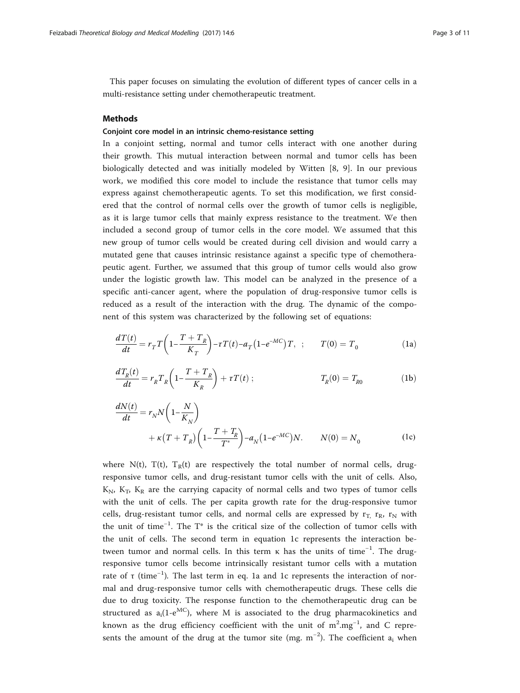<span id="page-2-0"></span>This paper focuses on simulating the evolution of different types of cancer cells in a multi-resistance setting under chemotherapeutic treatment.

# Methods

# Conjoint core model in an intrinsic chemo-resistance setting

In a conjoint setting, normal and tumor cells interact with one another during their growth. This mutual interaction between normal and tumor cells has been biologically detected and was initially modeled by Witten [[8, 9](#page-9-0)]. In our previous work, we modified this core model to include the resistance that tumor cells may express against chemotherapeutic agents. To set this modification, we first considered that the control of normal cells over the growth of tumor cells is negligible, as it is large tumor cells that mainly express resistance to the treatment. We then included a second group of tumor cells in the core model. We assumed that this new group of tumor cells would be created during cell division and would carry a mutated gene that causes intrinsic resistance against a specific type of chemotherapeutic agent. Further, we assumed that this group of tumor cells would also grow under the logistic growth law. This model can be analyzed in the presence of a specific anti-cancer agent, where the population of drug-responsive tumor cells is reduced as a result of the interaction with the drug. The dynamic of the component of this system was characterized by the following set of equations:

$$
\frac{dT(t)}{dt} = r_T T \left( 1 - \frac{T + T_R}{K_T} \right) - \tau T(t) - a_T (1 - e^{-MC}) T, \quad ; \qquad T(0) = T_0 \tag{1a}
$$

$$
\frac{dT_R(t)}{dt} = r_R T_R \left( 1 - \frac{T + T_R}{K_R} \right) + \tau T(t) ; \qquad T_R(0) = T_{R0}
$$
 (1b)

$$
\frac{dN(t)}{dt} = r_N N \left( 1 - \frac{N}{K_N} \right)
$$
  
+  $\kappa (T + T_R) \left( 1 - \frac{T + T_R}{T^*} \right) - a_N (1 - e^{-MC}) N.$   $N(0) = N_0$  (1c)

where N(t), T(t),  $T_R(t)$  are respectively the total number of normal cells, drugresponsive tumor cells, and drug-resistant tumor cells with the unit of cells. Also,  $K_N$ ,  $K_T$ ,  $K_R$  are the carrying capacity of normal cells and two types of tumor cells with the unit of cells. The per capita growth rate for the drug-responsive tumor cells, drug-resistant tumor cells, and normal cells are expressed by  $r_T$ ,  $r_R$ ,  $r_N$  with the unit of time−<sup>1</sup> . The T\* is the critical size of the collection of tumor cells with the unit of cells. The second term in equation 1c represents the interaction between tumor and normal cells. In this term κ has the units of time<sup>-1</sup>. The drugresponsive tumor cells become intrinsically resistant tumor cells with a mutation rate of τ (time−<sup>1</sup> ). The last term in eq. 1a and 1c represents the interaction of normal and drug-responsive tumor cells with chemotherapeutic drugs. These cells die due to drug toxicity. The response function to the chemotherapeutic drug can be structured as  $a_i(1-e^{MC})$ , where M is associated to the drug pharmacokinetics and known as the drug efficiency coefficient with the unit of  $m^2.mg^{-1}$ , and C represents the amount of the drug at the tumor site (mg.  $m^{-2}$ ). The coefficient  $a_i$  when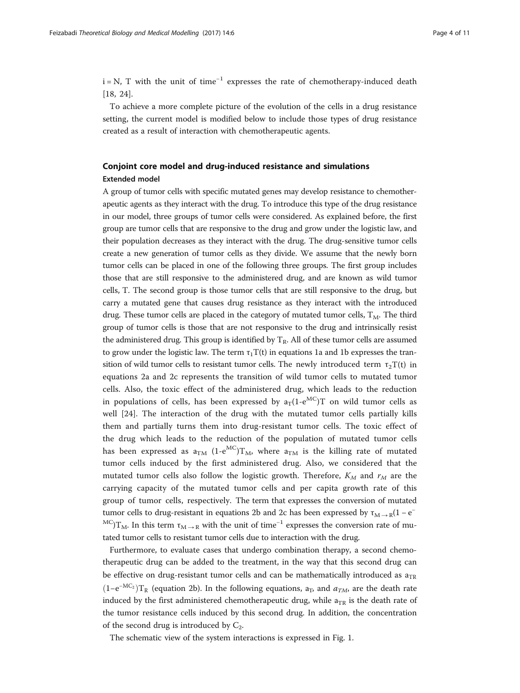i = N, T with the unit of time<sup>-1</sup> expresses the rate of chemotherapy-induced death [[18,](#page-9-0) [24](#page-10-0)].

To achieve a more complete picture of the evolution of the cells in a drug resistance setting, the current model is modified below to include those types of drug resistance created as a result of interaction with chemotherapeutic agents.

# Conjoint core model and drug-induced resistance and simulations Extended model

A group of tumor cells with specific mutated genes may develop resistance to chemotherapeutic agents as they interact with the drug. To introduce this type of the drug resistance in our model, three groups of tumor cells were considered. As explained before, the first group are tumor cells that are responsive to the drug and grow under the logistic law, and their population decreases as they interact with the drug. The drug-sensitive tumor cells create a new generation of tumor cells as they divide. We assume that the newly born tumor cells can be placed in one of the following three groups. The first group includes those that are still responsive to the administered drug, and are known as wild tumor cells, T. The second group is those tumor cells that are still responsive to the drug, but carry a mutated gene that causes drug resistance as they interact with the introduced drug. These tumor cells are placed in the category of mutated tumor cells,  $T_M$ . The third group of tumor cells is those that are not responsive to the drug and intrinsically resist the administered drug. This group is identified by  $T_R$ . All of these tumor cells are assumed to grow under the logistic law. The term  $\tau_1T(t)$  in equations [1a](#page-2-0) and [1b](#page-2-0) expresses the transition of wild tumor cells to resistant tumor cells. The newly introduced term  $\tau_2T(t)$  in equations [2a](#page-4-0) and [2c](#page-4-0) represents the transition of wild tumor cells to mutated tumor cells. Also, the toxic effect of the administered drug, which leads to the reduction in populations of cells, has been expressed by  $a_T(1-e^{MC})T$  on wild tumor cells as well [\[24](#page-10-0)]. The interaction of the drug with the mutated tumor cells partially kills them and partially turns them into drug-resistant tumor cells. The toxic effect of the drug which leads to the reduction of the population of mutated tumor cells has been expressed as  $a_{TM}$  (1-e<sup>MC</sup>)T<sub>M</sub>, where  $a_{TM}$  is the killing rate of mutated tumor cells induced by the first administered drug. Also, we considered that the mutated tumor cells also follow the logistic growth. Therefore,  $K_M$  and  $r_M$  are the carrying capacity of the mutated tumor cells and per capita growth rate of this group of tumor cells, respectively. The term that expresses the conversion of mutated tumor cells to drug-resistant in equations [2b](#page-4-0) and [2c](#page-4-0) has been expressed by  $\tau_{\text{M}\rightarrow\text{R}}(1-\text{e}^{-})$  $^{MC}$ )T<sub>M</sub>. In this term  $\tau_{M\rightarrow R}$  with the unit of time<sup>-1</sup> expresses the conversion rate of mutated tumor cells to resistant tumor cells due to interaction with the drug.

Furthermore, to evaluate cases that undergo combination therapy, a second chemotherapeutic drug can be added to the treatment, in the way that this second drug can be effective on drug-resistant tumor cells and can be mathematically introduced as  $a_{TR}$  $(1-e^{-MC_2})T_R$  (equation [2b](#page-4-0)). In the following equations, a<sub>T</sub>, and  $a_{TM}$ , are the death rate induced by the first administered chemotherapeutic drug, while  $a_{TR}$  is the death rate of the tumor resistance cells induced by this second drug. In addition, the concentration of the second drug is introduced by  $C_2$ .

The schematic view of the system interactions is expressed in Fig. [1](#page-4-0).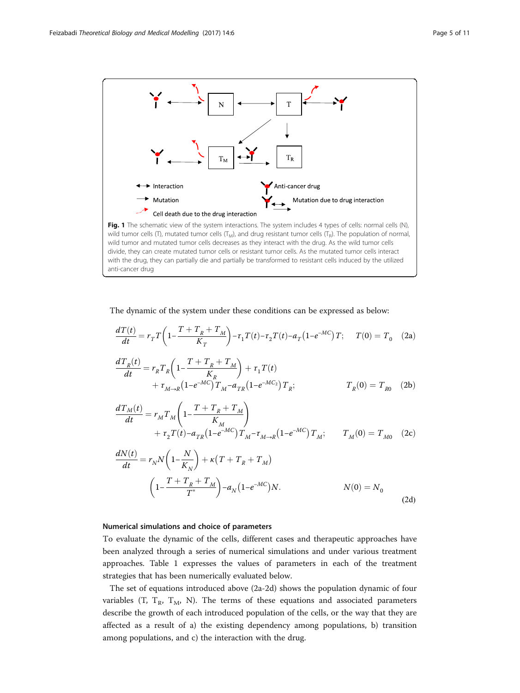<span id="page-4-0"></span>

The dynamic of the system under these conditions can be expressed as below:

$$
\frac{dT(t)}{dt} = r_T T \left( 1 - \frac{T + T_R + T_M}{K_T} \right) - r_1 T(t) - r_2 T(t) - a_T (1 - e^{-MC}) T; \quad T(0) = T_0 \quad (2a)
$$

$$
\frac{dT_R(t)}{dt} = r_R T_R \left( 1 - \frac{T + T_R + T_M}{K_R} \right) + r_1 T(t) \n+ r_{M \to R} (1 - e^{-MC}) T_M - a_{TR} (1 - e^{-MC_2}) T_R; \qquad T_R(0) = T_{R0} \quad (2b)
$$

$$
\frac{dT_M(t)}{dt} = r_M T_M \left( 1 - \frac{T + T_R + T_M}{K_M} \right) + r_2 T(t) - a_{TR} (1 - e^{-MC}) T_M - r_{M \to R} (1 - e^{-MC}) T_M; \qquad T_M(0) = T_{M0} \quad (2c)
$$

$$
\frac{dN(t)}{dt} = r_N N \left( 1 - \frac{N}{K_N} \right) + \kappa (T + T_R + T_M)
$$
  

$$
\left( 1 - \frac{T + T_R + T_M}{T^*} \right) - a_N (1 - e^{-MC}) N.
$$
  $N(0) = N_0$  (2d)

# Numerical simulations and choice of parameters

To evaluate the dynamic of the cells, different cases and therapeutic approaches have been analyzed through a series of numerical simulations and under various treatment approaches. Table [1](#page-5-0) expresses the values of parameters in each of the treatment strategies that has been numerically evaluated below.

The set of equations introduced above (2a-2d) shows the population dynamic of four variables (T,  $T_R$ ,  $T_M$ , N). The terms of these equations and associated parameters describe the growth of each introduced population of the cells, or the way that they are affected as a result of a) the existing dependency among populations, b) transition among populations, and c) the interaction with the drug.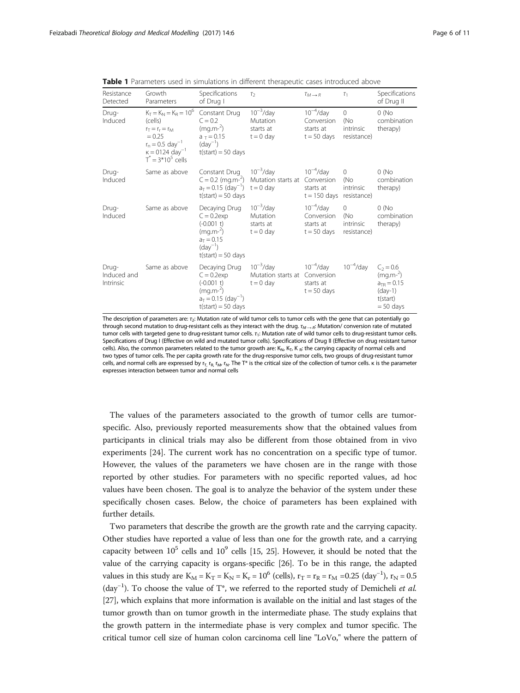| Resistance<br>Detected            | Growth<br>Parameters                                                                                                                                         | Specifications<br>of Drug I                                                                                                          | T <sub>2</sub>                                                | $T_M \rightarrow R$                                       | $\tau_1$                                       | Specifications<br>of Drug II                                                            |
|-----------------------------------|--------------------------------------------------------------------------------------------------------------------------------------------------------------|--------------------------------------------------------------------------------------------------------------------------------------|---------------------------------------------------------------|-----------------------------------------------------------|------------------------------------------------|-----------------------------------------------------------------------------------------|
| Drug-<br>Induced                  | $K_T = K_N = K_R = 10^6$<br>(cells)<br>$r_T = r_r = r_M$<br>$= 0.25$<br>$r_n = 0.5 \text{ day}^{-1}$<br>$K = 0124$ day <sup>-1</sup><br>$T^* = 3*10^5$ cells | Constant Drug<br>$C = 0.2$<br>$(mq.m^{-2})$<br>$a_T = 0.15$<br>$\frac{1}{\text{day}^{-1}}$<br>$t(stat) = 50 \text{ days}$            | $10^{-3}/day$<br>Mutation<br>starts at<br>$t = 0$ day         | $10^{-4}/day$<br>Conversion<br>starts at<br>$t = 50$ days | $\Omega$<br>(No<br>intrinsic<br>resistance)    | 0(No)<br>combination<br>therapy)                                                        |
| Drug-<br>Induced                  | Same as above                                                                                                                                                | Constant Drug<br>$C = 0.2$ (mg.m- <sup>2</sup> )<br>$a_T = 0.15$ (day <sup>-1</sup> )<br>$t(stat) = 50$ days                         | $10^{-3}/day$<br>Mutation starts at Conversion<br>$t = 0$ day | $10^{-4}$ /day<br>starts at<br>$t = 150$ days             | $\Omega$<br>(No<br>intrinsic<br>resistance)    | 0(No)<br>combination<br>therapy)                                                        |
| Drug-<br>Induced                  | Same as above                                                                                                                                                | Decaying Drug<br>$C = 0.2$ exp<br>$(-0.001 t)$<br>$(mq.m-2)$<br>$a_T = 0.15$<br>$(\text{day}^{-1})$<br>$t(stat) = 50$ days           | $10^{-3}/day$<br>Mutation<br>starts at<br>$t = 0$ day         | $10^{-4}/day$<br>Conversion<br>starts at<br>$t = 50$ days | $\mathbf 0$<br>(No<br>intrinsic<br>resistance) | 0(No)<br>combination<br>therapy)                                                        |
| Drug-<br>Induced and<br>Intrinsic | Same as above                                                                                                                                                | Decaying Drug<br>$C = 0.2$ exp<br>$(-0.001 t)$<br>$(mq.m^{-2})$<br>$a_T = 0.15$ (day <sup>-1</sup> )<br>$t(start) = 50 \text{ days}$ | $10^{-3}/day$<br>Mutation starts at Conversion<br>$t = 0$ day | $10^{-4}$ /day<br>starts at<br>$t = 50$ days              | $10^{-4}/day$                                  | $C_2 = 0.6$<br>$(mg.m^{-2})$<br>$a_{TR} = 0.15$<br>$(day-1)$<br>t(start)<br>$= 50$ days |

<span id="page-5-0"></span>**Table 1** Parameters used in simulations in different therapeutic cases introduced above

The description of parameters are:  $\tau_2$ : Mutation rate of wild tumor cells to tumor cells with the gene that can potentially go through second mutation to drug-resistant cells as they interact with the drug.  $\tau_{M \to R}$ : Mutation/ conversion rate of mutated tumor cells with targeted gene to drug-resistant tumor cells.  $\tau_1$ : Mutation rate of wild tumor cells to drug-resistant tumor cells. Specifications of Drug I (Effective on wild and mutated tumor cells). Specifications of Drug II (Effective on drug resistant tumor cells). Also, the common parameters related to the tumor growth are:  $K_{Ni}$ ,  $K_{Ti}$ ,  $K_{ Ri}$ : the carrying capacity of normal cells and two types of tumor cells. The per capita growth rate for the drug-responsive tumor cells, two groups of drug-resistant tumor cells, and normal cells are expressed by  $r_T$ ,  $r_R$ ,  $r_M$ ,  $r_N$ . The T\* is the critical size of the collection of tumor cells. κ is the parameter expresses interaction between tumor and normal cells

The values of the parameters associated to the growth of tumor cells are tumorspecific. Also, previously reported measurements show that the obtained values from participants in clinical trials may also be different from those obtained from in vivo experiments [\[24](#page-10-0)]. The current work has no concentration on a specific type of tumor. However, the values of the parameters we have chosen are in the range with those reported by other studies. For parameters with no specific reported values, ad hoc values have been chosen. The goal is to analyze the behavior of the system under these specifically chosen cases. Below, the choice of parameters has been explained with further details.

Two parameters that describe the growth are the growth rate and the carrying capacity. Other studies have reported a value of less than one for the growth rate, and a carrying capacity between  $10^5$  cells and  $10^9$  cells [\[15,](#page-9-0) [25\]](#page-10-0). However, it should be noted that the value of the carrying capacity is organs-specific [\[26\]](#page-10-0). To be in this range, the adapted values in this study are  $K_M = K_T = K_N = K_r = 10^6$  (cells),  $r_T = r_R = r_M = 0.25$  (day<sup>-1</sup>),  $r_N = 0.5$ (day<sup>-1</sup>). To choose the value of T<sup>\*</sup>, we referred to the reported study of Demicheli et al. [[27](#page-10-0)], which explains that more information is available on the initial and last stages of the tumor growth than on tumor growth in the intermediate phase. The study explains that the growth pattern in the intermediate phase is very complex and tumor specific. The critical tumor cell size of human colon carcinoma cell line "LoVo," where the pattern of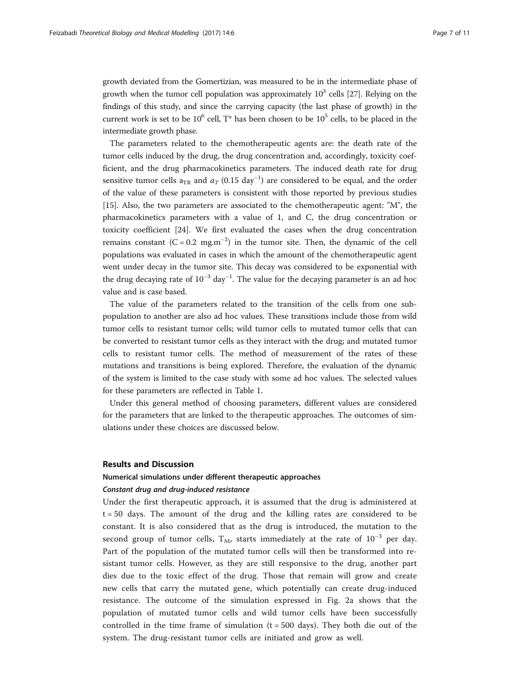growth deviated from the Gomertizian, was measured to be in the intermediate phase of growth when the tumor cell population was approximately  $10^3$  cells [\[27](#page-10-0)]. Relying on the findings of this study, and since the carrying capacity (the last phase of growth) in the current work is set to be  $10^6$  cell, T<sup>\*</sup> has been chosen to be  $10^5$  cells, to be placed in the intermediate growth phase.

The parameters related to the chemotherapeutic agents are: the death rate of the tumor cells induced by the drug, the drug concentration and, accordingly, toxicity coefficient, and the drug pharmacokinetics parameters. The induced death rate for drug sensitive tumor cells a<sub>TR</sub> and  $a_T$  (0.15 day $^{-1}$ ) are considered to be equal, and the order of the value of these parameters is consistent with those reported by previous studies [[15\]](#page-9-0). Also, the two parameters are associated to the chemotherapeutic agent: "M", the pharmacokinetics parameters with a value of 1, and C, the drug concentration or toxicity coefficient [\[24](#page-10-0)]. We first evaluated the cases when the drug concentration remains constant (C = 0.2 mg.m<sup>-2</sup>) in the tumor site. Then, the dynamic of the cell populations was evaluated in cases in which the amount of the chemotherapeutic agent went under decay in the tumor site. This decay was considered to be exponential with the drug decaying rate of 10<sup>-3</sup> day<sup>-1</sup>. The value for the decaying parameter is an ad hoc value and is case based.

The value of the parameters related to the transition of the cells from one subpopulation to another are also ad hoc values. These transitions include those from wild tumor cells to resistant tumor cells; wild tumor cells to mutated tumor cells that can be converted to resistant tumor cells as they interact with the drug; and mutated tumor cells to resistant tumor cells. The method of measurement of the rates of these mutations and transitions is being explored. Therefore, the evaluation of the dynamic of the system is limited to the case study with some ad hoc values. The selected values for these parameters are reflected in Table [1.](#page-5-0)

Under this general method of choosing parameters, different values are considered for the parameters that are linked to the therapeutic approaches. The outcomes of simulations under these choices are discussed below.

### Results and Discussion

# Numerical simulations under different therapeutic approaches Constant drug and drug-induced resistance

Under the first therapeutic approach, it is assumed that the drug is administered at t = 50 days. The amount of the drug and the killing rates are considered to be constant. It is also considered that as the drug is introduced, the mutation to the second group of tumor cells, T<sub>M</sub>, starts immediately at the rate of 10<sup>-3</sup> per day. Part of the population of the mutated tumor cells will then be transformed into resistant tumor cells. However, as they are still responsive to the drug, another part dies due to the toxic effect of the drug. Those that remain will grow and create new cells that carry the mutated gene, which potentially can create drug-induced resistance. The outcome of the simulation expressed in Fig. [2a](#page-7-0) shows that the population of mutated tumor cells and wild tumor cells have been successfully controlled in the time frame of simulation  $(t = 500 \text{ days})$ . They both die out of the system. The drug-resistant tumor cells are initiated and grow as well.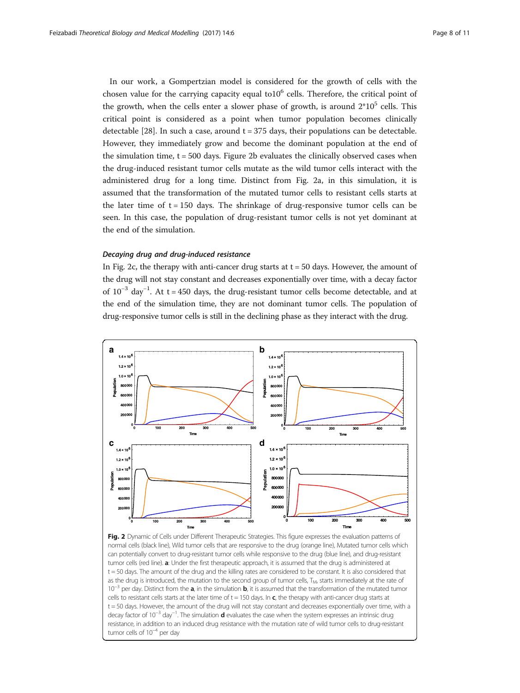<span id="page-7-0"></span>In our work, a Gompertzian model is considered for the growth of cells with the chosen value for the carrying capacity equal to  $10^6$  cells. Therefore, the critical point of the growth, when the cells enter a slower phase of growth, is around  $2*10^5$  cells. This critical point is considered as a point when tumor population becomes clinically detectable [\[28\]](#page-10-0). In such a case, around  $t = 375$  days, their populations can be detectable. However, they immediately grow and become the dominant population at the end of the simulation time,  $t = 500$  days. Figure 2b evaluates the clinically observed cases when the drug-induced resistant tumor cells mutate as the wild tumor cells interact with the administered drug for a long time. Distinct from Fig. 2a, in this simulation, it is assumed that the transformation of the mutated tumor cells to resistant cells starts at the later time of  $t = 150$  days. The shrinkage of drug-responsive tumor cells can be seen. In this case, the population of drug-resistant tumor cells is not yet dominant at the end of the simulation.

## Decaying drug and drug-induced resistance

In Fig. 2c, the therapy with anti-cancer drug starts at  $t = 50$  days. However, the amount of the drug will not stay constant and decreases exponentially over time, with a decay factor of  $10^{-3}$  day<sup>-1</sup>. At t = 450 days, the drug-resistant tumor cells become detectable, and at the end of the simulation time, they are not dominant tumor cells. The population of drug-responsive tumor cells is still in the declining phase as they interact with the drug.



Fig. 2 Dynamic of Cells under Different Therapeutic Strategies. This figure expresses the evaluation patterns of normal cells (black line), Wild tumor cells that are responsive to the drug (orange line), Mutated tumor cells which can potentially convert to drug-resistant tumor cells while responsive to the drug (blue line), and drug-resistant tumor cells (red line). a: Under the first therapeutic approach, it is assumed that the drug is administered at t = 50 days. The amount of the drug and the killing rates are considered to be constant. It is also considered that as the drug is introduced, the mutation to the second group of tumor cells,  $T_{M_b}$  starts immediately at the rate of  $10^{-3}$  per day. Distinct from the **a**, in the simulation **b**, it is assumed that the transformation of the mutated tumor cells to resistant cells starts at the later time of  $t = 150$  days. In  $c$ , the therapy with anti-cancer drug starts at t = 50 days. However, the amount of the drug will not stay constant and decreases exponentially over time, with a decay factor of 10<sup>-3</sup> day<sup>-1</sup>. The simulation **d** evaluates the case when the system expresses an intrinsic drug resistance, in addition to an induced drug resistance with the mutation rate of wild tumor cells to drug-resistant tumor cells of 10−<sup>4</sup> per day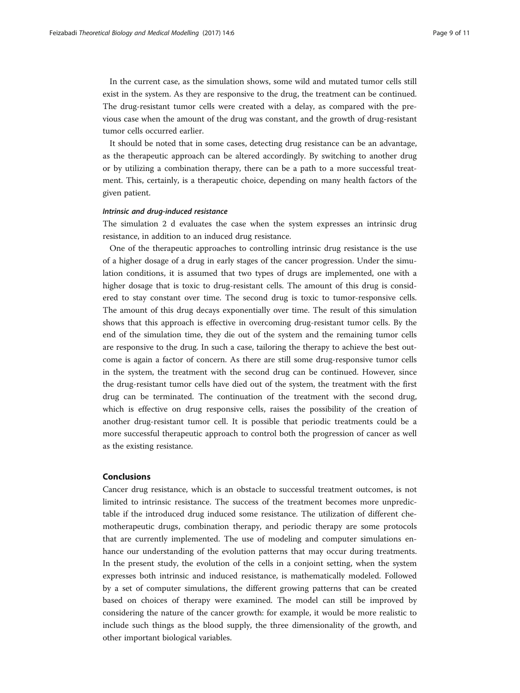In the current case, as the simulation shows, some wild and mutated tumor cells still exist in the system. As they are responsive to the drug, the treatment can be continued. The drug-resistant tumor cells were created with a delay, as compared with the previous case when the amount of the drug was constant, and the growth of drug-resistant tumor cells occurred earlier.

It should be noted that in some cases, detecting drug resistance can be an advantage, as the therapeutic approach can be altered accordingly. By switching to another drug or by utilizing a combination therapy, there can be a path to a more successful treatment. This, certainly, is a therapeutic choice, depending on many health factors of the given patient.

#### Intrinsic and drug-induced resistance

The simulation 2 d evaluates the case when the system expresses an intrinsic drug resistance, in addition to an induced drug resistance.

One of the therapeutic approaches to controlling intrinsic drug resistance is the use of a higher dosage of a drug in early stages of the cancer progression. Under the simulation conditions, it is assumed that two types of drugs are implemented, one with a higher dosage that is toxic to drug-resistant cells. The amount of this drug is considered to stay constant over time. The second drug is toxic to tumor-responsive cells. The amount of this drug decays exponentially over time. The result of this simulation shows that this approach is effective in overcoming drug-resistant tumor cells. By the end of the simulation time, they die out of the system and the remaining tumor cells are responsive to the drug. In such a case, tailoring the therapy to achieve the best outcome is again a factor of concern. As there are still some drug-responsive tumor cells in the system, the treatment with the second drug can be continued. However, since the drug-resistant tumor cells have died out of the system, the treatment with the first drug can be terminated. The continuation of the treatment with the second drug, which is effective on drug responsive cells, raises the possibility of the creation of another drug-resistant tumor cell. It is possible that periodic treatments could be a more successful therapeutic approach to control both the progression of cancer as well as the existing resistance.

# Conclusions

Cancer drug resistance, which is an obstacle to successful treatment outcomes, is not limited to intrinsic resistance. The success of the treatment becomes more unpredictable if the introduced drug induced some resistance. The utilization of different chemotherapeutic drugs, combination therapy, and periodic therapy are some protocols that are currently implemented. The use of modeling and computer simulations enhance our understanding of the evolution patterns that may occur during treatments. In the present study, the evolution of the cells in a conjoint setting, when the system expresses both intrinsic and induced resistance, is mathematically modeled. Followed by a set of computer simulations, the different growing patterns that can be created based on choices of therapy were examined. The model can still be improved by considering the nature of the cancer growth: for example, it would be more realistic to include such things as the blood supply, the three dimensionality of the growth, and other important biological variables.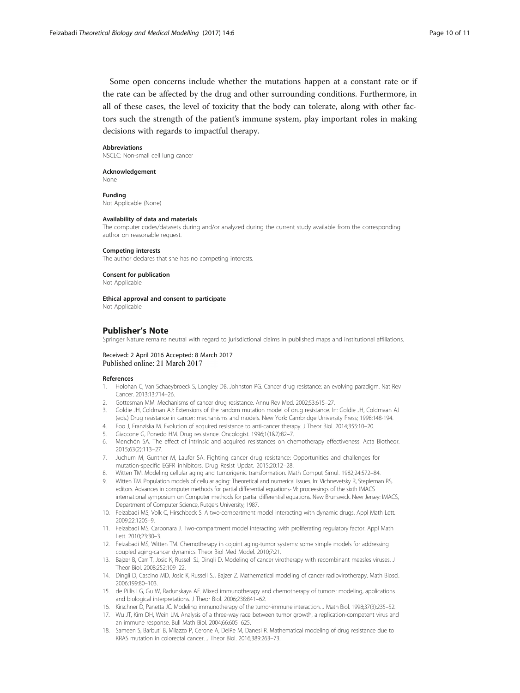<span id="page-9-0"></span>Some open concerns include whether the mutations happen at a constant rate or if the rate can be affected by the drug and other surrounding conditions. Furthermore, in all of these cases, the level of toxicity that the body can tolerate, along with other factors such the strength of the patient's immune system, play important roles in making decisions with regards to impactful therapy.

#### Abbreviations

NSCLC: Non-small cell lung cancer

#### Acknowledgement None

Funding

Not Applicable (None)

#### Availability of data and materials

The computer codes/datasets during and/or analyzed during the current study available from the corresponding author on reasonable request.

#### Competing interests

The author declares that she has no competing interests.

Consent for publication

Not Applicable

# Ethical approval and consent to participate

Not Applicable

#### Publisher's Note

Springer Nature remains neutral with regard to jurisdictional claims in published maps and institutional affiliations.

Received: 2 April 2016 Accepted: 8 March 2017<br>Published online: 21 March 2017

#### References

- 1. Holohan C, Van Schaeybroeck S, Longley DB, Johnston PG. Cancer drug resistance: an evolving paradigm. Nat Rev Cancer. 2013;13:714–26.
- 2. Gottesman MM. Mechanisms of cancer drug resistance. Annu Rev Med. 2002;53:615–27.
- 3. Goldie JH, Coldman AJ: Extensions of the random mutation model of drug resistance. In: Goldie JH, Coldmaan AJ (eds.) Drug resistance in cancer: mechanisms and models. New York: Cambridge University Press; 1998:148-194.
- 4. Foo J, Franziska M. Evolution of acquired resistance to anti-cancer therapy. J Theor Biol. 2014;355:10–20.
- 5. Giaccone G, Ponedo HM. Drug resistance. Oncologist. 1996;1(1&2):82–7.
- 6. Menchón SA. The effect of intrinsic and acquired resistances on chemotherapy effectiveness. Acta Biotheor. 2015;63(2):113–27.
- Juchum M, Gunther M, Laufer SA. Fighting cancer drug resistance: Opportunities and challenges for mutation-specific EGFR inhibitors. Drug Resist Updat. 2015;20:12–28.
- 8. Witten TM. Modeling cellular aging and tumorigenic transformation. Math Comput Simul. 1982;24:572–84.
- 9. Witten TM. Population models of cellular aging: Theoretical and numerical issues. In: Vichnevetsky R, Stepleman RS, editors. Advances in computer methods for partial differential equations- VI: proceesings of the sixth IMACS international symposium on Computer methods for partial differential equations. New Brunswick. New Jersey: IMACS, Department of Computer Science, Rutgers University; 1987.
- 10. Feizabadi MS, Volk C, Hirschbeck S. A two-compartment model interacting with dynamic drugs. Appl Math Lett. 2009;22:1205–9.
- 11. Feizabadi MS, Carbonara J. Two-compartment model interacting with proliferating regulatory factor. Appl Math Lett. 2010;23:30–3.
- 12. Feizabadi MS, Witten TM. Chemotherapy in cojoint aging-tumor systems: some simple models for addressing coupled aging-cancer dynamics. Theor Biol Med Model. 2010;7:21.
- 13. Bajzer B, Carr T, Josic K, Russell SJ, Dingli D. Modeling of cancer virotherapy with recombinant measles viruses. J Theor Biol. 2008;252:109–22.
- 14. Dingli D, Cascino MD, Josic K, Russell SJ, Bajzer Z. Mathematical modeling of cancer radiovirotherapy. Math Biosci. 2006;199:80–103.
- 15. de Pillis LG, Gu W, Radunskaya AE. Mixed immunotherapy and chemotherapy of tumors: modeling, applications and biological interpretations. J Theor Biol. 2006;238:841–62.
- 16. Kirschner D, Panetta JC. Modeling immunotherapy of the tumor-immune interaction. J Math Biol. 1998;37(3):235–52.
- 17. Wu JT, Kirn DH, Wein LM. Analysis of a three-way race between tumor growth, a replication-competent virus and an immune response. Bull Math Biol. 2004;66:605–625.
- 18. Sameen S, Barbuti B, Milazzo P, Cerone A, DelRe M, Danesi R. Mathematical modeling of drug resistance due to KRAS mutation in colorectal cancer. J Theor Biol. 2016;389:263–73.